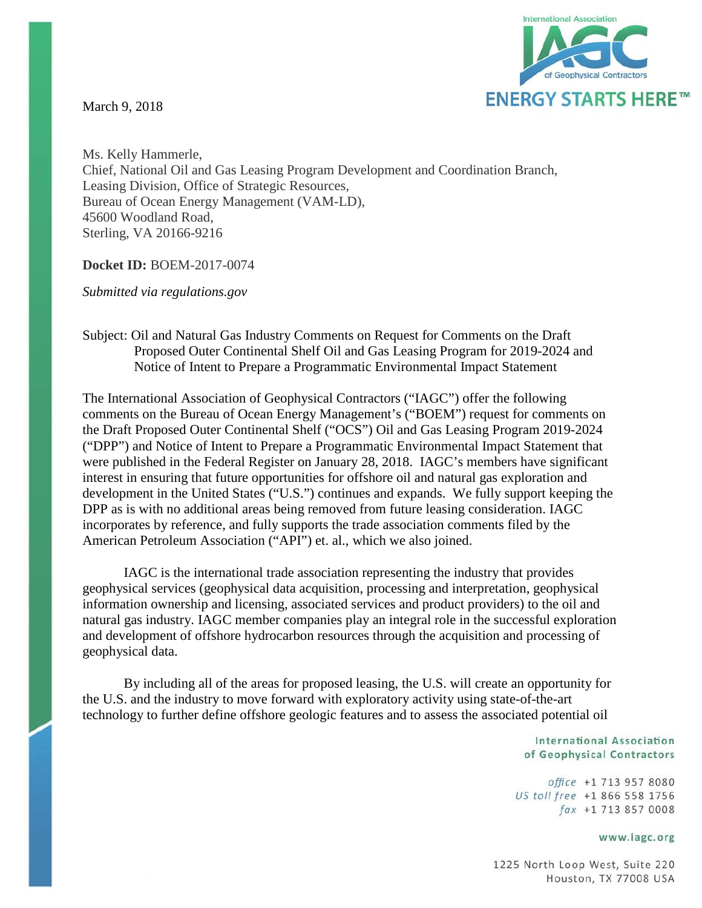March 9, 2018



Ms. Kelly Hammerle, Chief, National Oil and Gas Leasing Program Development and Coordination Branch, Leasing Division, Office of Strategic Resources, Bureau of Ocean Energy Management (VAM-LD), 45600 Woodland Road, Sterling, VA 20166-9216

**Docket ID:** BOEM-2017-0074

*Submitted via regulations.gov*

#### Subject: Oil and Natural Gas Industry Comments on Request for Comments on the Draft Proposed Outer Continental Shelf Oil and Gas Leasing Program for 2019-2024 and Notice of Intent to Prepare a Programmatic Environmental Impact Statement

The International Association of Geophysical Contractors ("IAGC") offer the following comments on the Bureau of Ocean Energy Management's ("BOEM") request for comments on the Draft Proposed Outer Continental Shelf ("OCS") Oil and Gas Leasing Program 2019-2024 ("DPP") and Notice of Intent to Prepare a Programmatic Environmental Impact Statement that were published in the Federal Register on January 28, 2018. IAGC's members have significant interest in ensuring that future opportunities for offshore oil and natural gas exploration and development in the United States ("U.S.") continues and expands. We fully support keeping the DPP as is with no additional areas being removed from future leasing consideration. IAGC incorporates by reference, and fully supports the trade association comments filed by the American Petroleum Association ("API") et. al., which we also joined.

IAGC is the international trade association representing the industry that provides geophysical services (geophysical data acquisition, processing and interpretation, geophysical information ownership and licensing, associated services and product providers) to the oil and natural gas industry. IAGC member companies play an integral role in the successful exploration and development of offshore hydrocarbon resources through the acquisition and processing of geophysical data.

By including all of the areas for proposed leasing, the U.S. will create an opportunity for the U.S. and the industry to move forward with exploratory activity using state-of-the-art technology to further define offshore geologic features and to assess the associated potential oil

> **International Association** of Geophysical Contractors

office +1 713 957 8080 US toll free +1 866 558 1756 fax +1 713 857 0008

#### www.iagc.org

1225 North Loop West, Suite 220 Houston, TX 77008 USA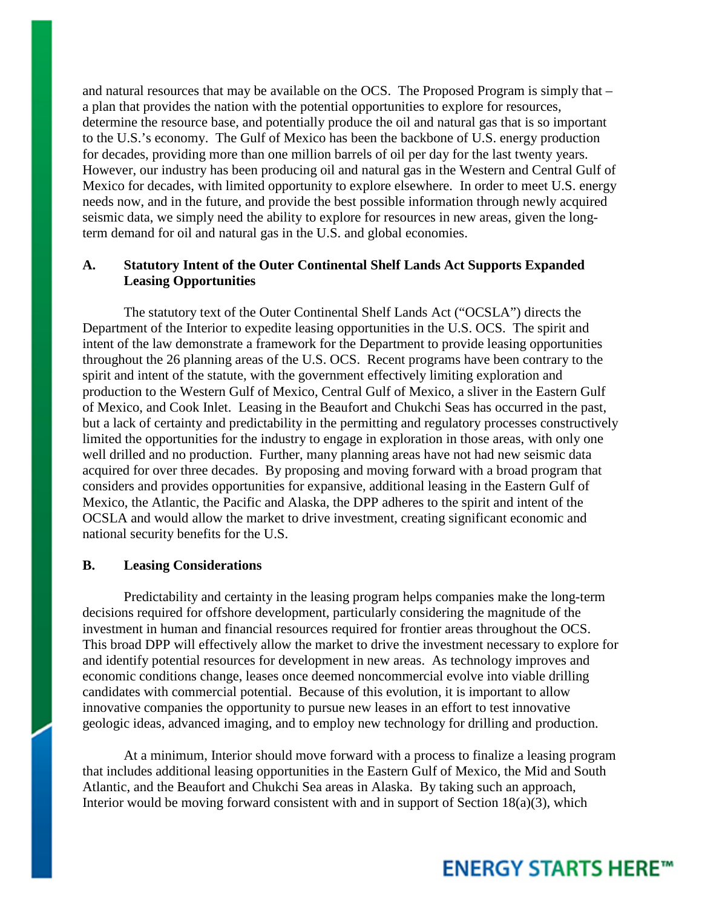and natural resources that may be available on the OCS. The Proposed Program is simply that – a plan that provides the nation with the potential opportunities to explore for resources, determine the resource base, and potentially produce the oil and natural gas that is so important to the U.S.'s economy. The Gulf of Mexico has been the backbone of U.S. energy production for decades, providing more than one million barrels of oil per day for the last twenty years. However, our industry has been producing oil and natural gas in the Western and Central Gulf of Mexico for decades, with limited opportunity to explore elsewhere. In order to meet U.S. energy needs now, and in the future, and provide the best possible information through newly acquired seismic data, we simply need the ability to explore for resources in new areas, given the longterm demand for oil and natural gas in the U.S. and global economies.

#### **A. Statutory Intent of the Outer Continental Shelf Lands Act Supports Expanded Leasing Opportunities**

The statutory text of the Outer Continental Shelf Lands Act ("OCSLA") directs the Department of the Interior to expedite leasing opportunities in the U.S. OCS. The spirit and intent of the law demonstrate a framework for the Department to provide leasing opportunities throughout the 26 planning areas of the U.S. OCS. Recent programs have been contrary to the spirit and intent of the statute, with the government effectively limiting exploration and production to the Western Gulf of Mexico, Central Gulf of Mexico, a sliver in the Eastern Gulf of Mexico, and Cook Inlet. Leasing in the Beaufort and Chukchi Seas has occurred in the past, but a lack of certainty and predictability in the permitting and regulatory processes constructively limited the opportunities for the industry to engage in exploration in those areas, with only one well drilled and no production. Further, many planning areas have not had new seismic data acquired for over three decades. By proposing and moving forward with a broad program that considers and provides opportunities for expansive, additional leasing in the Eastern Gulf of Mexico, the Atlantic, the Pacific and Alaska, the DPP adheres to the spirit and intent of the OCSLA and would allow the market to drive investment, creating significant economic and national security benefits for the U.S.

#### **B. Leasing Considerations**

Predictability and certainty in the leasing program helps companies make the long-term decisions required for offshore development, particularly considering the magnitude of the investment in human and financial resources required for frontier areas throughout the OCS. This broad DPP will effectively allow the market to drive the investment necessary to explore for and identify potential resources for development in new areas. As technology improves and economic conditions change, leases once deemed noncommercial evolve into viable drilling candidates with commercial potential. Because of this evolution, it is important to allow innovative companies the opportunity to pursue new leases in an effort to test innovative geologic ideas, advanced imaging, and to employ new technology for drilling and production.

At a minimum, Interior should move forward with a process to finalize a leasing program that includes additional leasing opportunities in the Eastern Gulf of Mexico, the Mid and South Atlantic, and the Beaufort and Chukchi Sea areas in Alaska. By taking such an approach, Interior would be moving forward consistent with and in support of Section 18(a)(3), which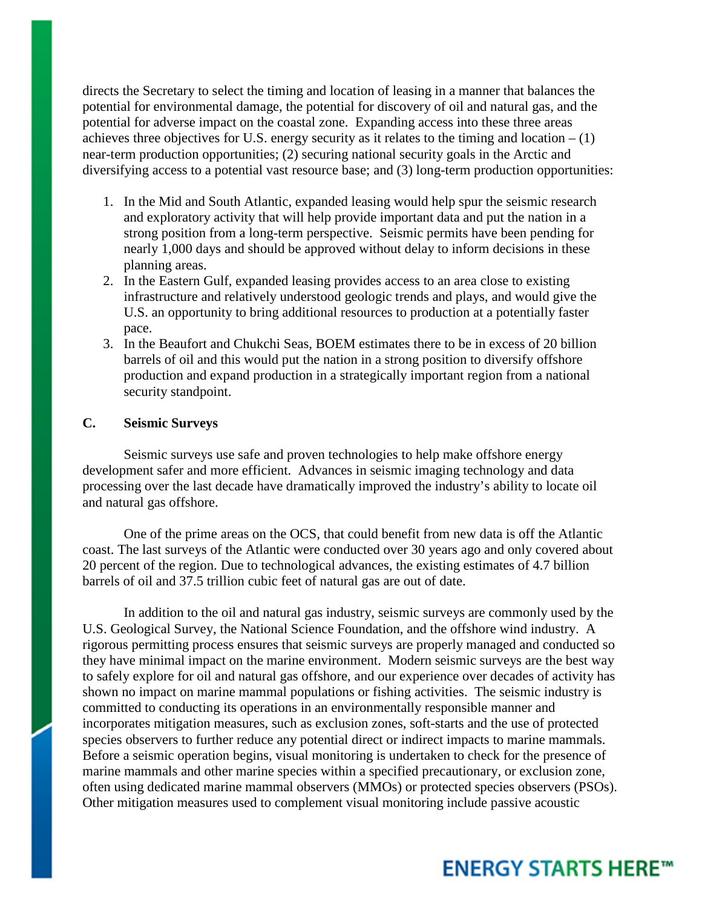directs the Secretary to select the timing and location of leasing in a manner that balances the potential for environmental damage, the potential for discovery of oil and natural gas, and the potential for adverse impact on the coastal zone. Expanding access into these three areas achieves three objectives for U.S. energy security as it relates to the timing and location  $- (1)$ near-term production opportunities; (2) securing national security goals in the Arctic and diversifying access to a potential vast resource base; and (3) long-term production opportunities:

- 1. In the Mid and South Atlantic, expanded leasing would help spur the seismic research and exploratory activity that will help provide important data and put the nation in a strong position from a long-term perspective. Seismic permits have been pending for nearly 1,000 days and should be approved without delay to inform decisions in these planning areas.
- 2. In the Eastern Gulf, expanded leasing provides access to an area close to existing infrastructure and relatively understood geologic trends and plays, and would give the U.S. an opportunity to bring additional resources to production at a potentially faster pace.
- 3. In the Beaufort and Chukchi Seas, BOEM estimates there to be in excess of 20 billion barrels of oil and this would put the nation in a strong position to diversify offshore production and expand production in a strategically important region from a national security standpoint.

#### **C. Seismic Surveys**

Seismic surveys use safe and proven technologies to help make offshore energy development safer and more efficient. Advances in seismic imaging technology and data processing over the last decade have dramatically improved the industry's ability to locate oil and natural gas offshore.

One of the prime areas on the OCS, that could benefit from new data is off the Atlantic coast. The last surveys of the Atlantic were conducted over 30 years ago and only covered about 20 percent of the region. Due to technological advances, the existing estimates of 4.7 billion barrels of oil and 37.5 trillion cubic feet of natural gas are out of date.

In addition to the oil and natural gas industry, seismic surveys are commonly used by the U.S. Geological Survey, the National Science Foundation, and the offshore wind industry. A rigorous permitting process ensures that seismic surveys are properly managed and conducted so they have minimal impact on the marine environment. Modern seismic surveys are the best way to safely explore for oil and natural gas offshore, and our experience over decades of activity has shown no impact on marine mammal populations or fishing activities. The seismic industry is committed to conducting its operations in an environmentally responsible manner and incorporates mitigation measures, such as exclusion zones, soft-starts and the use of protected species observers to further reduce any potential direct or indirect impacts to marine mammals. Before a seismic operation begins, visual monitoring is undertaken to check for the presence of marine mammals and other marine species within a specified precautionary, or exclusion zone, often using dedicated marine mammal observers (MMOs) or protected species observers (PSOs). Other mitigation measures used to complement visual monitoring include passive acoustic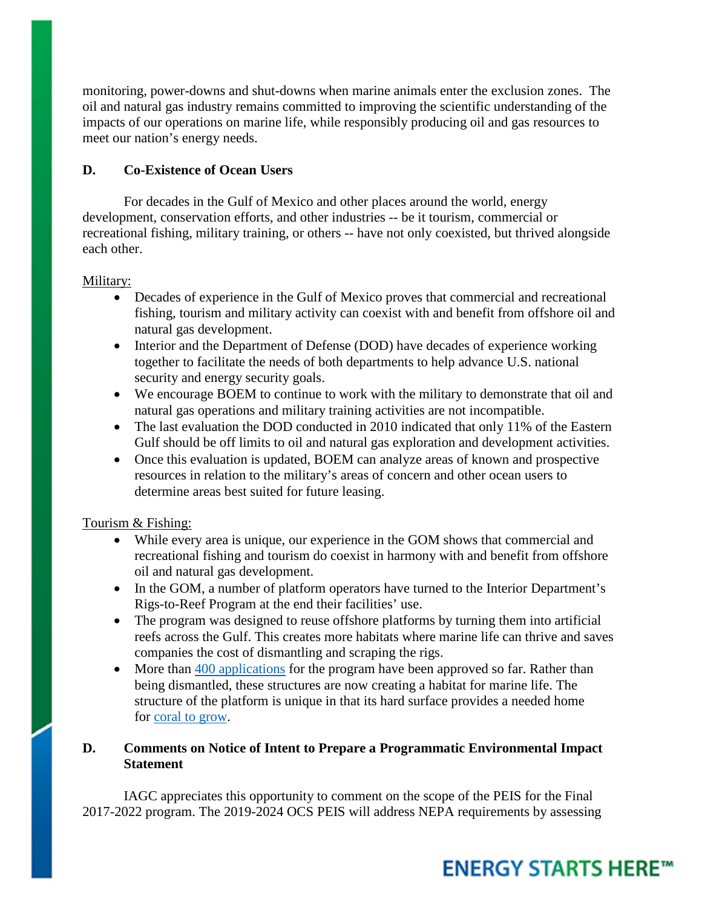monitoring, power-downs and shut-downs when marine animals enter the exclusion zones. The oil and natural gas industry remains committed to improving the scientific understanding of the impacts of our operations on marine life, while responsibly producing oil and gas resources to meet our nation's energy needs.

### **D. Co-Existence of Ocean Users**

For decades in the Gulf of Mexico and other places around the world, energy development, conservation efforts, and other industries -- be it tourism, commercial or recreational fishing, military training, or others -- have not only coexisted, but thrived alongside each other.

#### Military:

- Decades of experience in the Gulf of Mexico proves that commercial and recreational fishing, tourism and military activity can coexist with and benefit from offshore oil and natural gas development.
- Interior and the Department of Defense (DOD) have decades of experience working together to facilitate the needs of both departments to help advance U.S. national security and energy security goals.
- We encourage BOEM to continue to work with the military to demonstrate that oil and natural gas operations and military training activities are not incompatible.
- The last evaluation the DOD conducted in 2010 indicated that only 11% of the Eastern Gulf should be off limits to oil and natural gas exploration and development activities.
- Once this evaluation is updated, BOEM can analyze areas of known and prospective resources in relation to the military's areas of concern and other ocean users to determine areas best suited for future leasing.

#### Tourism & Fishing:

- While every area is unique, our experience in the GOM shows that commercial and recreational fishing and tourism do coexist in harmony with and benefit from offshore oil and natural gas development.
- In the GOM, a number of platform operators have turned to the Interior Department's Rigs-to-Reef Program at the end their facilities' use.
- The program was designed to reuse offshore platforms by turning them into artificial reefs across the Gulf. This creates more habitats where marine life can thrive and saves companies the cost of dismantling and scraping the rigs.
- More than [400 applications](https://www.bsee.gov/faqs/how-many-rigs-to-reefs-proposals-has-bsee-approved-denied) for the program have been approved so far. Rather than being dismantled, these structures are now creating a habitat for marine life. The structure of the platform is unique in that its hard surface provides a needed home for [coral to grow.](http://aoghs.org/offshore-history/rigs-to-reefs/)

#### **D. Comments on Notice of Intent to Prepare a Programmatic Environmental Impact Statement**

IAGC appreciates this opportunity to comment on the scope of the PEIS for the Final 2017-2022 program. The 2019-2024 OCS PEIS will address NEPA requirements by assessing